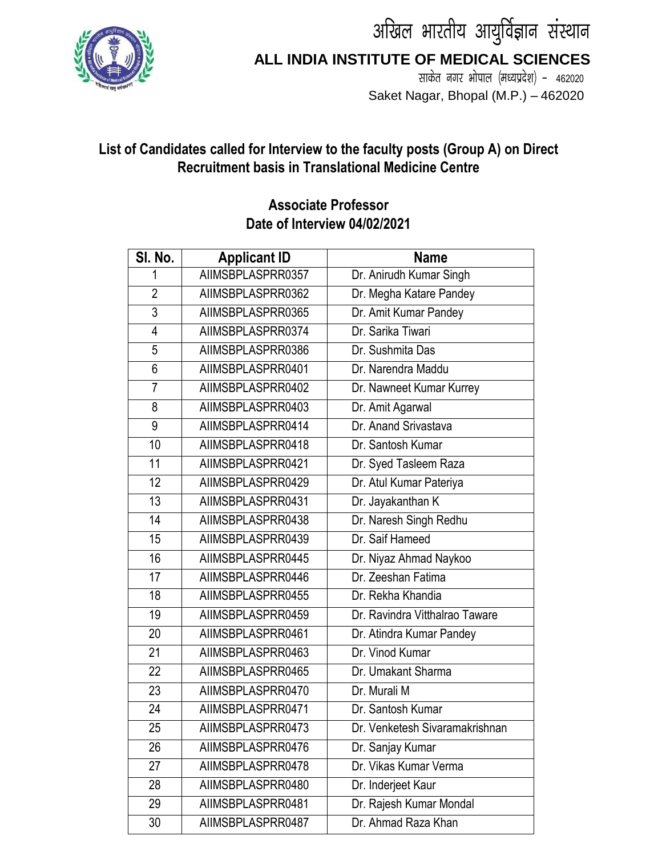



**ALL INDIA INSTITUTE OF MEDICAL SCIENCES**

साकेत नगर भोपाल (मध्यप्रदेश) - 462020 Saket Nagar, Bhopal (M.P.) – 462020

## **List of Candidates called for Interview to the faculty posts (Group A) on Direct Recruitment basis in Translational Medicine Centre**

## **Associate Professor Date of Interview 04/02/2021**

| SI. No.         | <b>Applicant ID</b> | <b>Name</b>                    |
|-----------------|---------------------|--------------------------------|
| 1               | AIIMSBPLASPRR0357   | Dr. Anirudh Kumar Singh        |
| $\overline{2}$  | AIIMSBPLASPRR0362   | Dr. Megha Katare Pandey        |
| 3               | AIIMSBPLASPRR0365   | Dr. Amit Kumar Pandey          |
| $\overline{4}$  | AIIMSBPLASPRR0374   | Dr. Sarika Tiwari              |
| 5               | AIIMSBPLASPRR0386   | Dr. Sushmita Das               |
| $6\,$           | AIIMSBPLASPRR0401   | Dr. Narendra Maddu             |
| $\overline{7}$  | AIIMSBPLASPRR0402   | Dr. Nawneet Kumar Kurrey       |
| 8               | AIIMSBPLASPRR0403   | Dr. Amit Agarwal               |
| 9               | AIIMSBPLASPRR0414   | Dr. Anand Srivastava           |
| $\overline{10}$ | AIIMSBPLASPRR0418   | Dr. Santosh Kumar              |
| 11              | AIIMSBPLASPRR0421   | Dr. Syed Tasleem Raza          |
| $\overline{12}$ | AIIMSBPLASPRR0429   | Dr. Atul Kumar Pateriya        |
| $\overline{13}$ | AIIMSBPLASPRR0431   | Dr. Jayakanthan K              |
| 14              | AIIMSBPLASPRR0438   | Dr. Naresh Singh Redhu         |
| 15              | AIIMSBPLASPRR0439   | Dr. Saif Hameed                |
| 16              | AIIMSBPLASPRR0445   | Dr. Niyaz Ahmad Naykoo         |
| 17              | AIIMSBPLASPRR0446   | Dr. Zeeshan Fatima             |
| $\overline{18}$ | AIIMSBPLASPRR0455   | Dr. Rekha Khandia              |
| 19              | AIIMSBPLASPRR0459   | Dr. Ravindra Vitthalrao Taware |
| 20              | AIIMSBPLASPRR0461   | Dr. Atindra Kumar Pandey       |
| $\overline{21}$ | AIIMSBPLASPRR0463   | Dr. Vinod Kumar                |
| 22              | AIIMSBPLASPRR0465   | Dr. Umakant Sharma             |
| 23              | AIIMSBPLASPRR0470   | Dr. Murali M                   |
| 24              | AIIMSBPLASPRR0471   | Dr. Santosh Kumar              |
| 25              | AIIMSBPLASPRR0473   | Dr. Venketesh Sivaramakrishnan |
| 26              | AIIMSBPLASPRR0476   | Dr. Sanjay Kumar               |
| 27              | AIIMSBPLASPRR0478   | Dr. Vikas Kumar Verma          |
| 28              | AIIMSBPLASPRR0480   | Dr. Inderjeet Kaur             |
| 29              | AIIMSBPLASPRR0481   | Dr. Rajesh Kumar Mondal        |
| 30              | AIIMSBPLASPRR0487   | Dr. Ahmad Raza Khan            |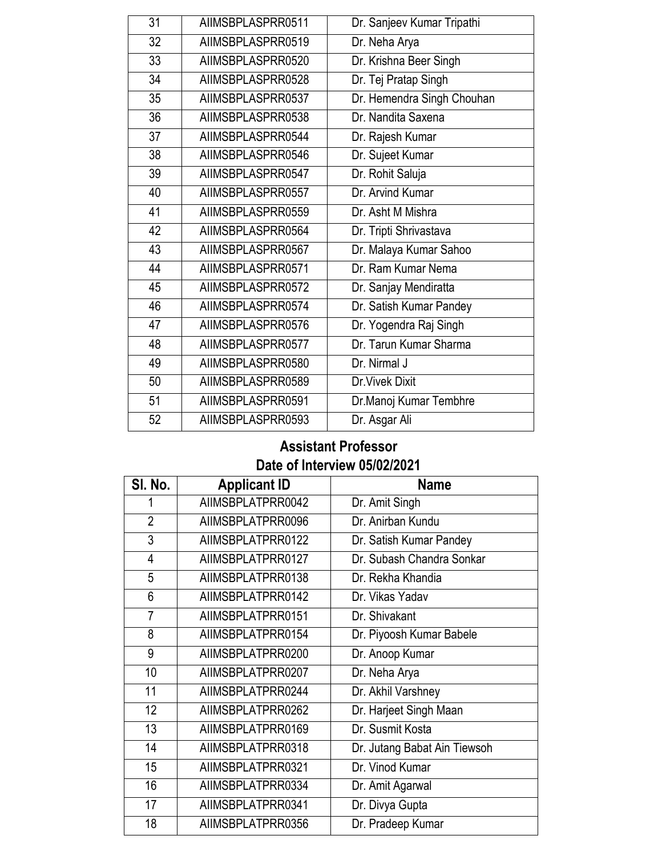| 31              | AIIMSBPLASPRR0511 | Dr. Sanjeev Kumar Tripathi |
|-----------------|-------------------|----------------------------|
| $\overline{32}$ | AIIMSBPLASPRR0519 | Dr. Neha Arya              |
| 33              | AIIMSBPLASPRR0520 | Dr. Krishna Beer Singh     |
| 34              | AIIMSBPLASPRR0528 | Dr. Tej Pratap Singh       |
| $\overline{35}$ | AIIMSBPLASPRR0537 | Dr. Hemendra Singh Chouhan |
| 36              | AIIMSBPLASPRR0538 | Dr. Nandita Saxena         |
| 37              | AIIMSBPLASPRR0544 | Dr. Rajesh Kumar           |
| 38              | AIIMSBPLASPRR0546 | Dr. Sujeet Kumar           |
| 39              | AIIMSBPLASPRR0547 | Dr. Rohit Saluja           |
| 40              | AIIMSBPLASPRR0557 | Dr. Arvind Kumar           |
| 41              | AIIMSBPLASPRR0559 | Dr. Asht M Mishra          |
| 42              | AIIMSBPLASPRR0564 | Dr. Tripti Shrivastava     |
| 43              | AIIMSBPLASPRR0567 | Dr. Malaya Kumar Sahoo     |
| 44              | AIIMSBPLASPRR0571 | Dr. Ram Kumar Nema         |
| 45              | AIIMSBPLASPRR0572 | Dr. Sanjay Mendiratta      |
| 46              | AIIMSBPLASPRR0574 | Dr. Satish Kumar Pandey    |
| 47              | AIIMSBPLASPRR0576 | Dr. Yogendra Raj Singh     |
| 48              | AIIMSBPLASPRR0577 | Dr. Tarun Kumar Sharma     |
| 49              | AIIMSBPLASPRR0580 | Dr. Nirmal J               |
| 50              | AIIMSBPLASPRR0589 | Dr. Vivek Dixit            |
| 51              | AIIMSBPLASPRR0591 | Dr. Manoj Kumar Tembhre    |
| 52              | AIIMSBPLASPRR0593 | Dr. Asgar Ali              |

## **Assistant Professor Date of Interview 05/02/2021**

| SI. No.        | <b>Applicant ID</b> | <b>Name</b>                  |
|----------------|---------------------|------------------------------|
|                | AIIMSBPLATPRR0042   | Dr. Amit Singh               |
| $\overline{2}$ | AIIMSBPLATPRR0096   | Dr. Anirban Kundu            |
| $\overline{3}$ | AIIMSBPLATPRR0122   | Dr. Satish Kumar Pandey      |
| 4              | AIIMSBPLATPRR0127   | Dr. Subash Chandra Sonkar    |
| 5              | AIIMSBPLATPRR0138   | Dr. Rekha Khandia            |
| 6              | AIIMSBPLATPRR0142   | Dr. Vikas Yadav              |
| 7              | AIIMSBPLATPRR0151   | Dr. Shivakant                |
| 8              | AIIMSBPLATPRR0154   | Dr. Piyoosh Kumar Babele     |
| 9              | AIIMSBPLATPRR0200   | Dr. Anoop Kumar              |
| 10             | AIIMSBPLATPRR0207   | Dr. Neha Arya                |
| 11             | AIIMSBPLATPRR0244   | Dr. Akhil Varshney           |
| 12             | AIIMSBPLATPRR0262   | Dr. Harjeet Singh Maan       |
| 13             | AIIMSBPLATPRR0169   | Dr. Susmit Kosta             |
| 14             | AIIMSBPLATPRR0318   | Dr. Jutang Babat Ain Tiewsoh |
| 15             | AIIMSBPLATPRR0321   | Dr. Vinod Kumar              |
| 16             | AIIMSBPLATPRR0334   | Dr. Amit Agarwal             |
| 17             | AIIMSBPLATPRR0341   | Dr. Divya Gupta              |
| 18             | AIIMSBPLATPRR0356   | Dr. Pradeep Kumar            |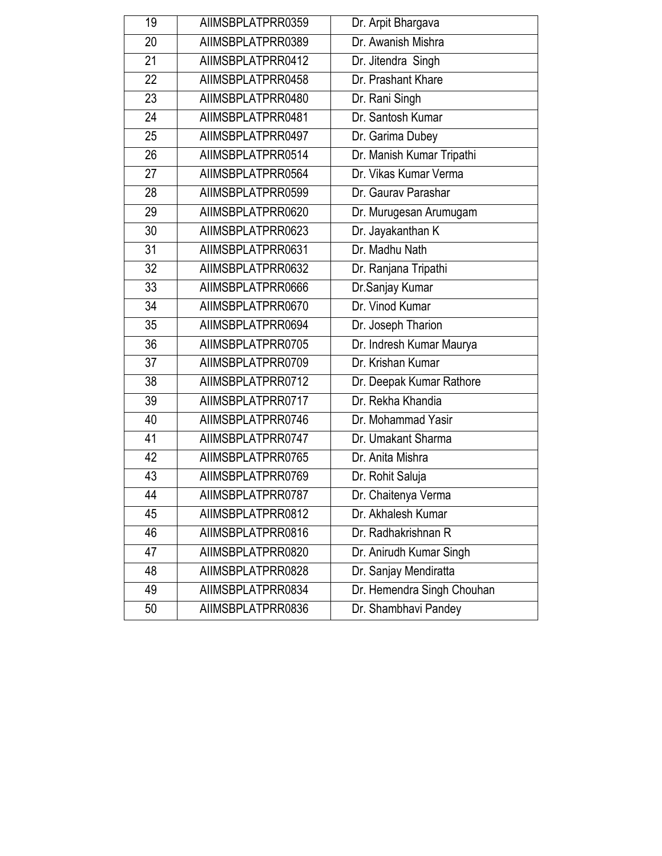| 19              | AIIMSBPLATPRR0359 | Dr. Arpit Bhargava         |
|-----------------|-------------------|----------------------------|
| $\overline{20}$ | AIIMSBPLATPRR0389 | Dr. Awanish Mishra         |
| 21              | AIIMSBPLATPRR0412 | Dr. Jitendra Singh         |
| 22              | AIIMSBPLATPRR0458 | Dr. Prashant Khare         |
| $\overline{23}$ | AIIMSBPLATPRR0480 | Dr. Rani Singh             |
| 24              | AIIMSBPLATPRR0481 | Dr. Santosh Kumar          |
| 25              | AIIMSBPLATPRR0497 | Dr. Garima Dubey           |
| 26              | AIIMSBPLATPRR0514 | Dr. Manish Kumar Tripathi  |
| $\overline{27}$ | AIIMSBPLATPRR0564 | Dr. Vikas Kumar Verma      |
| 28              | AIIMSBPLATPRR0599 | Dr. Gaurav Parashar        |
| 29              | AIIMSBPLATPRR0620 | Dr. Murugesan Arumugam     |
| 30              | AIIMSBPLATPRR0623 | Dr. Jayakanthan K          |
| $\overline{31}$ | AIIMSBPLATPRR0631 | Dr. Madhu Nath             |
| $\overline{32}$ | AIIMSBPLATPRR0632 | Dr. Ranjana Tripathi       |
| 33              | AIIMSBPLATPRR0666 | Dr. Sanjay Kumar           |
| 34              | AIIMSBPLATPRR0670 | Dr. Vinod Kumar            |
| 35              | AIIMSBPLATPRR0694 | Dr. Joseph Tharion         |
| 36              | AIIMSBPLATPRR0705 | Dr. Indresh Kumar Maurya   |
| 37              | AIIMSBPLATPRR0709 | Dr. Krishan Kumar          |
| $\overline{38}$ | AIIMSBPLATPRR0712 | Dr. Deepak Kumar Rathore   |
| 39              | AIIMSBPLATPRR0717 | Dr. Rekha Khandia          |
| 40              | AIIMSBPLATPRR0746 | Dr. Mohammad Yasir         |
| $\overline{41}$ | AIIMSBPLATPRR0747 | Dr. Umakant Sharma         |
| 42              | AIIMSBPLATPRR0765 | Dr. Anita Mishra           |
| 43              | AIIMSBPLATPRR0769 | Dr. Rohit Saluja           |
| 44              | AIIMSBPLATPRR0787 | Dr. Chaitenya Verma        |
| 45              | AIIMSBPLATPRR0812 | Dr. Akhalesh Kumar         |
| 46              | AIIMSBPLATPRR0816 | Dr. Radhakrishnan R        |
| 47              | AIIMSBPLATPRR0820 | Dr. Anirudh Kumar Singh    |
| 48              | AIIMSBPLATPRR0828 | Dr. Sanjay Mendiratta      |
| 49              | AIIMSBPLATPRR0834 | Dr. Hemendra Singh Chouhan |
| 50              | AIIMSBPLATPRR0836 | Dr. Shambhavi Pandey       |